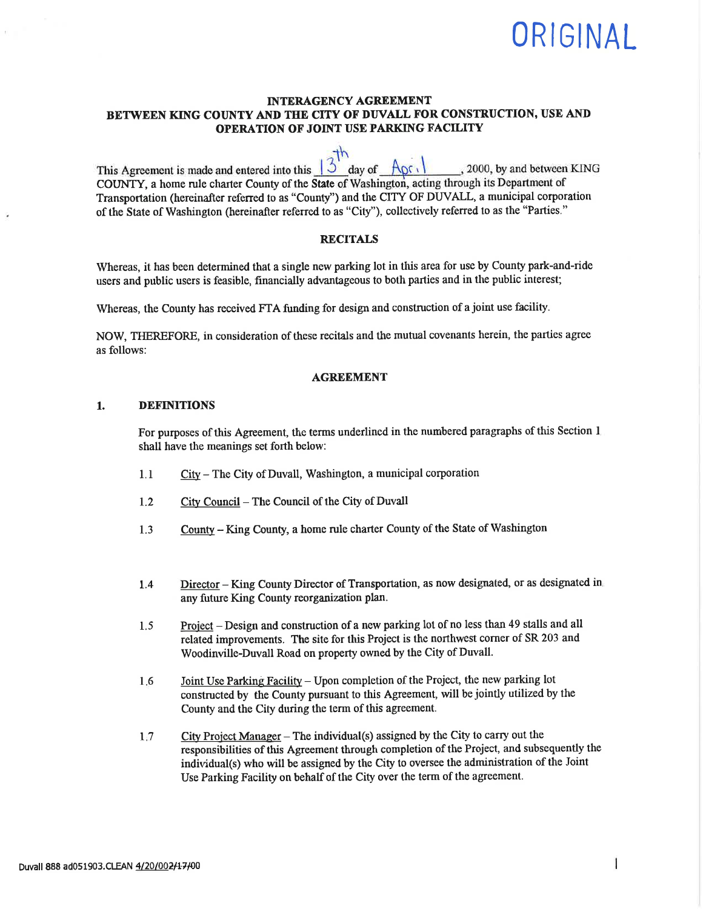# ORIGINAL

# INTERAGENCY AGREEMENT BETWEEN KING COUNTY AND THE CITY OF DWALL FOR CONSTRUCTION, USE AND OPERATION OF JOINT USE PARKING FACILITY

This Agreement is made and entered into this  $\frac{3}{3}$  day of April , 2000, by and between KING COUNTY, a home rule charter County of the State of Washington, acting through its Department of Transportation (hereinafter referred to as "County") and the CIry OF DWALL, a municipal corporation of the State of Washington (hereinafter referred to as "City"), collectively referred to as the "Parties."

# **RECITALS**

Whereas, it has been determined that a single new parking lot in this area for use by County park-and-ride users and public users is feasible, financially advantageous to both parties and in the public interest,

Whereas, the County has received FTA funding for design and construction of a joint use facility.

NOW, THEREFORE, in consideration of these recitals and the mutual covenants herein, the parties agree as follows:

## AGREEMENT

## 1. DEFINITIONS

For purposes of this Agreement, the terms underlined in the numbered paragraphs of this Section I shall have the meanings set forth below:

- $1.1$  City The City of Duvall, Washington, a municipal corporation
- 1.2 City Council The Council of the City of Duvall
- 1.3 County King County, a home rule charter County of the State of Washington
- Director King County Director of Transportation, as now designated, or as designated in any future King County reorganization plan. 1.4
- Project Design and construction of a new parking lot of no less than 49 stalls and all related improvements. The site for this Project is the northwest corner of SR 203 and Woodinville-Duvall Road on propefty owned by the City of Duvall. 1.5
- Joint Use Parking Facility Upon completion of the Project, the new parking lot constructed by the County pursuant to this Agreement, will be jointly utilized by the County and the City during the term of this agreement. 1.6
- City Project Manager The individual(s) assigned by the City to carry out the responsibilities of this Agreement through completion of the Project, and subsequently the individual(s) who will be assigned by the City to oversee the administration of the Joint Use Parking Facility on behalf of the City over the term of the agreement.  $1.7$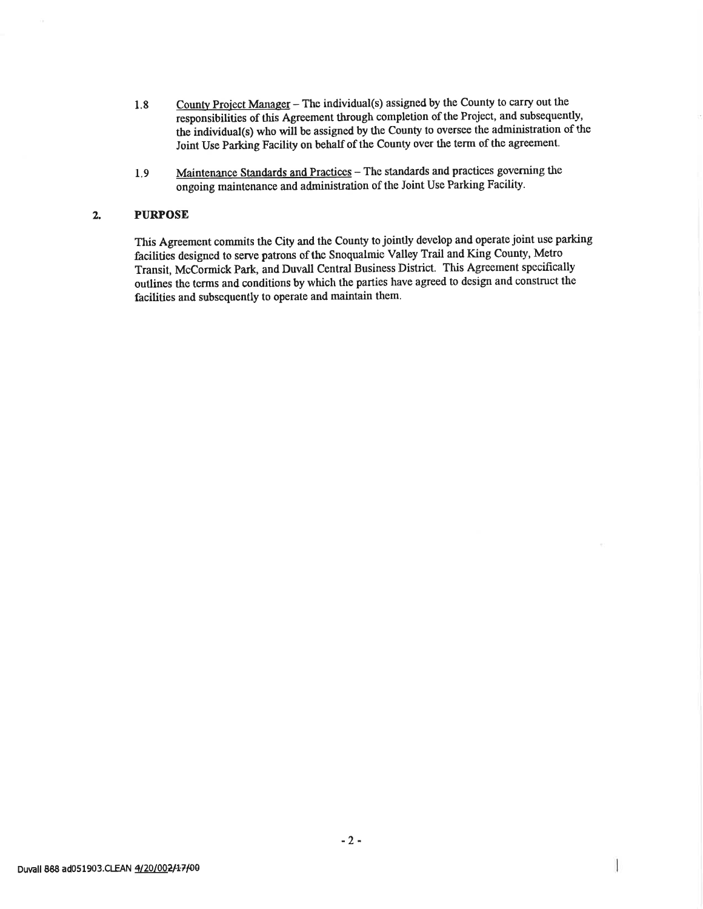- 1.8 County Project Manager The individual(s) assigned by the County to carry out the responsibilities of this Agreement through completion of the Project, and subsequently, the individual(s) who will be assigned by the County to oversee the administration of the Joint Use Parking Facility on behalf of the County over the term of the agreement.
- 1.9 Maintenance Standards and Practices The standards and practices governing the ongoing maintenance and administration of the Joint Use Parking Facility.

# 2. PURPOSE

This Agreement commits the City and the County to jointly develop and operate joint use parking facilities designed to serve patrons of the Snoqualmie Valley Trail and King County, Metro Transit, McCormick Park, and Duvall Central Business District. This Agreement specifically outlines the terms and conditions by which the parties have agreed to design and construct the facilities and subsequently to operate and maintain them.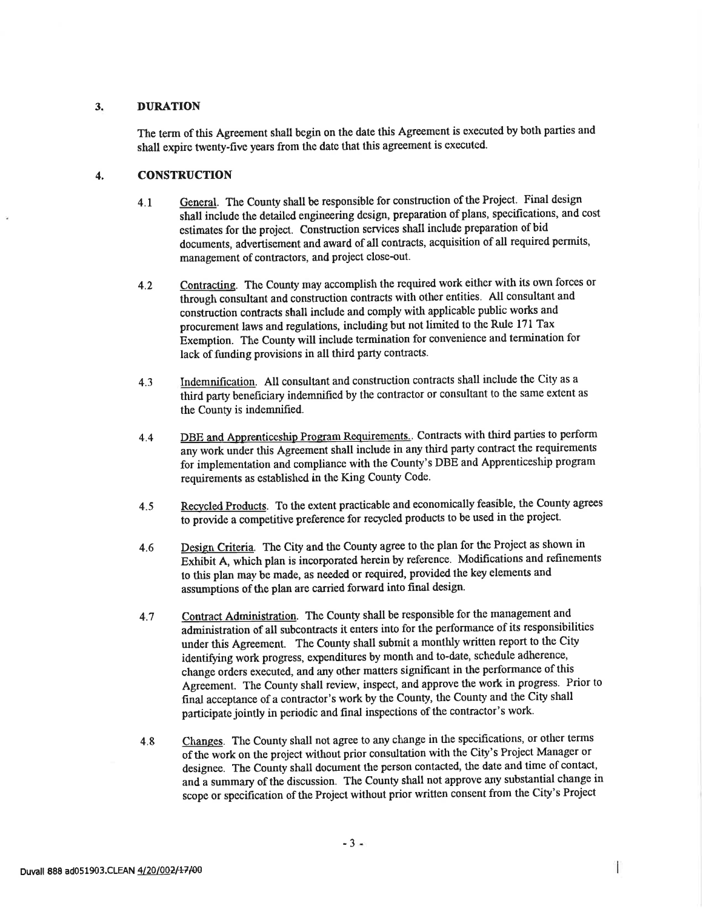### 3. DURATION

The term of this Agreement shall begin on the date this Agreement is executed by both parties and shall expire twenty-five years from the date that this agreement is executed.

### 4. **CONSTRUCTION**

- 4.1 General. The County shall be responsible for construction of the Project. Final design shall include the detailed engineering design, preparation of plans, specifications, and cost estimates for the project. Construction seryices shall include preparation of bid documents, advertisement and award of all contracts, acquisition of all required permits, management of contractors, and project close-out.
- 4.2 Contracting. The County may accomplish the required work either with its own forces or through consultant and construction contracts with other entities. All consultant and construction contracts shall include and comply with applicable public works and procurement laws and regulations, including but not limited to the Rule 171 Tax Exemption. The County will include termination for convenience and termination for lack of funding provisions in all third party contracts.
- 4.3 Indemnification. All consultant and construction contracts shall include the City as a third party beneficiary indemnified by the contractor or consultant to the same extent as the County is indemnified.
- 4.4 DBE and Apprenticeship Program Requirements. Contracts with third parties to perform any work under this Agreement shall include in any third party contract the requirements for implementation and compliance with the County's DBE and Apprenticeship program requirements as established in the King County Code.
- 4.5 Recycled Products. To the extent practicable and economically feasible, the County agrees to provide a competitive preference for rerycled products to be used in the project.
- 4.6 Design Criteria. The City and the County agree to the plan for the Project as shown in Exhibit A, which plan is incorporated herein by reference. Modifications and refinements to this plan may be made, as needed or required, provided the key elements and assumptions of the plan are carried forward into final design.
- 4.7 Contract Administration. The County shall be responsible for the management and administration of all subcontracts it enters into for the performance of its responsibilities under this Agreement. The County shall submit a monthly written report to the City identifying work progress, expenditures by month and to-date, schedule adherence, change orders executed, and any other matters significant in the performance of this Agreement. The County shall review, inspect, and approve the work in progress. Prior to final acceptance of a contractor's work by the County, the County and the City shall participate jointly in periodic and final inspections of the contractor's work.
- 4.8 Changes. The County shall not agree to any change in the specifications, or other terms of the work on the project without prior consultation with the City's Project Manager or designee. The County shall document the person contacted, the date and time of contact, and a summary of the discussion. The County shall not approve any substantial change in scope or specification of the Project without prior written consent from the City's Project